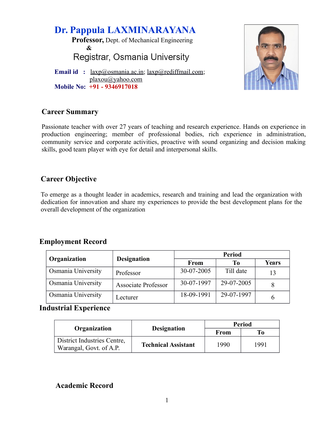**Dr. Pappula LAXMINARAYANA Professor,** Dept. of Mechanical Engineering **&** Registrar, Osmania University **Email id** : <u>laxp</u>@osmania.ac.in; [laxp@rediffmail.com;](mailto:laxp@rediffmail.com)



 [plaxou@yahoo.com](mailto:plaxou@yahoo.com) **Mobile No: +91 - 9346917018**

# **Career Summary**

Passionate teacher with over 27 years of teaching and research experience. Hands on experience in production engineering; member of professional bodies, rich experience in administration, community service and corporate activities, proactive with sound organizing and decision making skills, good team player with eye for detail and interpersonal skills.

# **Career Objective**

To emerge as a thought leader in academics, research and training and lead the organization with dedication for innovation and share my experiences to provide the best development plans for the overall development of the organization

# **Employment Record**

|                    |                            | <b>Period</b> |            |              |  |  |
|--------------------|----------------------------|---------------|------------|--------------|--|--|
| Organization       | <b>Designation</b>         | <b>From</b>   | Tо         | <b>Years</b> |  |  |
| Osmania University | Professor                  | 30-07-2005    | Till date  | 13           |  |  |
| Osmania University | <b>Associate Professor</b> | 30-07-1997    | 29-07-2005 |              |  |  |
| Osmania University | Lecturer                   | 18-09-1991    | 29-07-1997 | 6            |  |  |

# **Industrial Experience**

| Organization                                           | <b>Period</b>              |      |      |
|--------------------------------------------------------|----------------------------|------|------|
|                                                        | <b>Designation</b>         | From | Tо   |
| District Industries Centre,<br>Warangal, Govt. of A.P. | <b>Technical Assistant</b> | 1990 | 1991 |

# **Academic Record**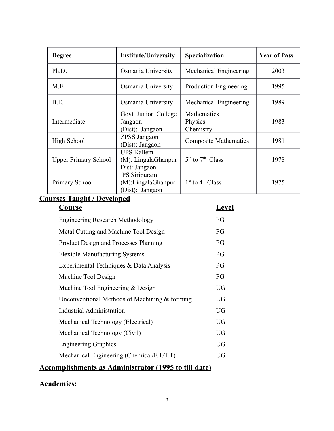| <b>Degree</b>               | <b>Institute/University</b>                                  | <b>Specialization</b>               | <b>Year of Pass</b> |
|-----------------------------|--------------------------------------------------------------|-------------------------------------|---------------------|
| Ph.D.                       | Osmania University                                           | Mechanical Engineering              | 2003                |
| M.E.                        | Osmania University                                           | <b>Production Engineering</b>       | 1995                |
| B.E.                        | Osmania University                                           | Mechanical Engineering              | 1989                |
| Intermediate                | Govt. Junior College<br>Jangaon<br>(Dist): Jangaon           | Mathematics<br>Physics<br>Chemistry | 1983                |
| High School                 | ZPSS Jangaon<br>(Dist): Jangaon                              | <b>Composite Mathematics</b>        | 1981                |
| <b>Upper Primary School</b> | <b>UPS Kallem</b><br>$(M)$ : LingalaGhanpur<br>Dist: Jangaon | $5th$ to $7th$ Class                | 1978                |
| Primary School              | PS Siripuram<br>(M):LingalaGhanpur<br>(Dist): Jangaon        | $1st$ to $4th$ Class                | 1975                |

# **Courses Taught / Developed Course Level**

| <b>Engineering Research Methodology</b>         | PG        |
|-------------------------------------------------|-----------|
| Metal Cutting and Machine Tool Design           | PG        |
| Product Design and Processes Planning           | PG        |
| <b>Flexible Manufacturing Systems</b>           | PG        |
| Experimental Techniques & Data Analysis         | PG        |
| Machine Tool Design                             | PG        |
| Machine Tool Engineering & Design               | UG        |
| Unconventional Methods of Machining $&$ forming | UG        |
| Industrial Administration                       | <b>UG</b> |
| Mechanical Technology (Electrical)              | <b>UG</b> |
| Mechanical Technology (Civil)                   | <b>UG</b> |
| <b>Engineering Graphics</b>                     | UG        |
| Mechanical Engineering (Chemical/F.T/T.T)       | UG        |
|                                                 |           |

# **Accomplishments as Administrator (1995 to till date)**

# **Academics:**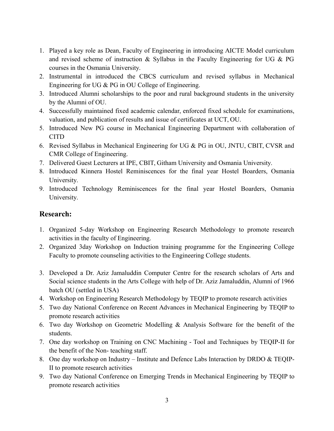- 1. Played a key role as Dean, Faculty of Engineering in introducing AICTE Model curriculum and revised scheme of instruction  $\&$  Syllabus in the Faculty Engineering for UG  $\&$  PG courses in the Osmania University.
- 2. Instrumental in introduced the CBCS curriculum and revised syllabus in Mechanical Engineering for UG & PG in OU College of Engineering.
- 3. Introduced Alumni scholarships to the poor and rural background students in the university by the Alumni of OU.
- 4. Successfully maintained fixed academic calendar, enforced fixed schedule for examinations, valuation, and publication of results and issue of certificates at UCT, OU.
- 5. Introduced New PG course in Mechanical Engineering Department with collaboration of CITD
- 6. Revised Syllabus in Mechanical Engineering for UG & PG in OU, JNTU, CBIT, CVSR and CMR College of Engineering.
- 7. Delivered Guest Lecturers at IPE, CBIT, Githam University and Osmania University.
- 8. Introduced Kinnera Hostel Reminiscences for the final year Hostel Boarders, Osmania University.
- 9. Introduced Technology Reminiscences for the final year Hostel Boarders, Osmania University.

# **Research:**

- 1. Organized 5-day Workshop on Engineering Research Methodology to promote research activities in the faculty of Engineering.
- 2. Organized 3day Workshop on Induction training programme for the Engineering College Faculty to promote counseling activities to the Engineering College students.
- 3. Developed a Dr. Aziz Jamaluddin Computer Centre for the research scholars of Arts and Social science students in the Arts College with help of Dr. Aziz Jamaluddin, Alumni of 1966 batch OU (settled in USA)
- 4. Workshop on Engineering Research Methodology by TEQIP to promote research activities
- 5. Two day National Conference on Recent Advances in Mechanical Engineering by TEQIP to promote research activities
- 6. Two day Workshop on Geometric Modelling & Analysis Software for the benefit of the students.
- 7. One day workshop on Training on CNC Machining Tool and Techniques by TEQIP-II for the benefit of the Non- teaching staff.
- 8. One day workshop on Industry Institute and Defence Labs Interaction by DRDO & TEQIP-II to promote research activities
- 9. Two day National Conference on Emerging Trends in Mechanical Engineering by TEQIP to promote research activities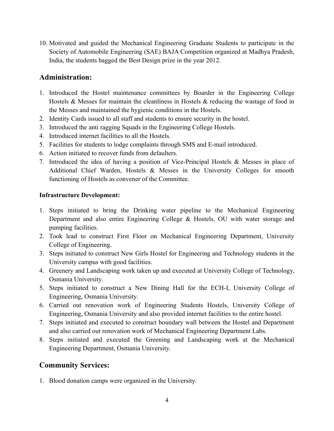10. Motivated and guided the Mechanical Engineering Graduate Students to participate in the Society of Automobile Engineering (SAE) BAJA Competition organized at Madhya Pradesh, India, the students bagged the Best Design prize in the year 2012.

## **Administration:**

- 1. Introduced the Hostel maintenance committees by Boarder in the Engineering College Hostels & Messes for maintain the cleanliness in Hostels & reducing the wastage of food in the Messes and maintained the hygienic conditions in the Hostels.
- 2. Identity Cards issued to all staff and students to ensure security in the hostel.
- 3. Introduced the anti ragging Squads in the Engineering College Hostels.
- 4. Introduced internet facilities to all the Hostels.
- 5. Facilities for students to lodge complaints through SMS and E-mail introduced.
- 6. Action initiated to recover funds from defaulters.
- 7. Introduced the idea of having a position of Vice-Principal Hostels & Messes in place of Additional Chief Warden, Hostels & Messes in the University Colleges for smooth functioning of Hostels as convener of the Committee.

#### **Infrastructure Development:**

- 1. Steps initiated to bring the Drinking water pipeline to the Mechanical Engineering Department and also entire Engineering College & Hostels, OU with water storage and pumping facilities.
- 2. Took lead to construct First Floor on Mechanical Engineering Department, University College of Engineering.
- 3. Steps initiated to construct New Girls Hostel for Engineering and Technology students in the University campus with good facilities.
- 4. Greenery and Landscaping work taken up and executed at University College of Technology, Osmania University.
- 5. Steps initiated to construct a New Dining Hall for the ECH-I, University College of Engineering, Osmania University.
- 6. Carried out renovation work of Engineering Students Hostels, University College of Engineering, Osmania University and also provided internet facilities to the entire hostel.
- 7. Steps initiated and executed to construct boundary wall between the Hostel and Department and also carried out renovation work of Mechanical Engineering Department Labs.
- 8. Steps initiated and executed the Greening and Landscaping work at the Mechanical Engineering Department, Osmania University.

## **Community Services:**

1. Blood donation camps were organized in the University.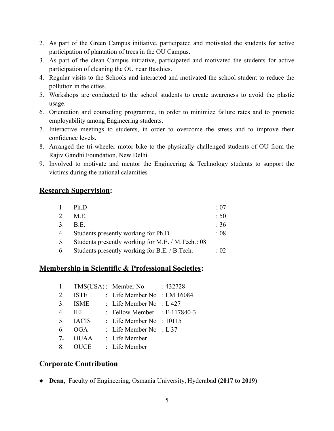- 2. As part of the Green Campus initiative, participated and motivated the students for active participation of plantation of trees in the OU Campus.
- 3. As part of the clean Campus initiative, participated and motivated the students for active participation of cleaning the OU near Basthies.
- 4. Regular visits to the Schools and interacted and motivated the school student to reduce the pollution in the cities.
- 5. Workshops are conducted to the school students to create awareness to avoid the plastic usage.
- 6. Orientation and counseling programme, in order to minimize failure rates and to promote employability among Engineering students.
- 7. Interactive meetings to students, in order to overcome the stress and to improve their confidence levels.
- 8. Arranged the tri-wheeler motor bike to the physically challenged students of OU from the Rajiv Gandhi Foundation, New Delhi.
- 9. Involved to motivate and mentor the Engineering & Technology students to support the victims during the national calamities

#### **Research Supervision:**

| 1. | Ph.D                                              | $\div 07$       |
|----|---------------------------------------------------|-----------------|
| 2. | M.E.                                              | :50             |
|    | 3. B.E.                                           | :36             |
|    | 4. Students presently working for Ph.D            | $\therefore$ 08 |
| 5. | Students presently working for M.E. / M.Tech.: 08 |                 |
|    | 6. Students presently working for B.E. / B.Tech.  | $\cdot$ 02      |

#### **Membership in Scientific & Professional Societies:**

|    |              | 1. TMS(USA): Member No         | : 432728           |
|----|--------------|--------------------------------|--------------------|
| 2  | <b>ISTE</b>  | : Life Member No : LM 16084    |                    |
| 3. | <b>ISME</b>  | : Life Member No               | $\therefore$ L 427 |
| 4  | IEI.         | : Fellow Member : $F-117840-3$ |                    |
| 5. | <b>IACIS</b> | : Life Member No : $10115$     |                    |
| 6. | OGA          | : Life Member No : L 37        |                    |
| 7. | <b>OUAA</b>  | : Life Member                  |                    |
| 8. | <b>OUCE</b>  | : Life Member                  |                    |

## **Corporate Contribution**

**Dean**, Faculty of Engineering, Osmania University, Hyderabad **(2017 to 2019)**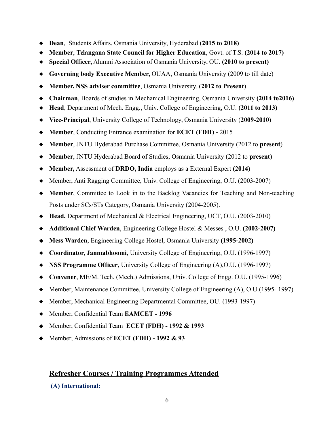- **Dean**, Students Affairs, Osmania University, Hyderabad **(2015 to 2018)**
- **Member**, **Telangana State Council for Higher Education**, Govt. of T.S. **(2014 to 2017)**
- **Special Officer,** Alumni Association of Osmania University, OU. **(2010 to present)**
- **Governing body Executive Member,** OUAA, Osmania University (2009 to till date)
- **Member, NSS adviser committee**, Osmania University. (**2012 to Present**)
- **Chairman**, Boards of studies in Mechanical Engineering, Osmania University **(2014 to2016)**
- **Head**, Department of Mech. Engg., Univ. College of Engineering, O.U. **(2011 to 2013)**
- **Vice-Principal**, University College of Technology, Osmania University (**2009-2010**)
- **Member**, Conducting Entrance examination for **ECET (FDH)** 2015
- **Member**, JNTU Hyderabad Purchase Committee, Osmania University (2012 to **present**)
- **Member**, JNTU Hyderabad Board of Studies, Osmania University (2012 to **present**)
- **Member,** Assessment of **DRDO, India** employs as a External Expert **(2014)**
- Member, Anti Ragging Committee, Univ. College of Engineering, O.U. (2003-2007)
- **Member**, Committee to Look in to the Backlog Vacancies for Teaching and Non-teaching Posts under SCs/STs Category, Osmania University (2004-2005).
- **Head,** Department of Mechanical & Electrical Engineering, UCT, O.U. (2003-2010)
- **Additional Chief Warden**, Engineering College Hostel & Messes , O.U. **(2002-2007)**
- **Mess Warden**, Engineering College Hostel, Osmania University **(1995-2002)**
- **Coordinator, Janmabhoomi**, University College of Engineering, O.U. (1996-1997)
- **NSS Programme Officer**, University College of Engineering (A),O.U. (1996-1997)
- **Convener**, ME/M. Tech. (Mech.) Admissions, Univ. College of Engg. O.U. (1995-1996)
- Member, Maintenance Committee, University College of Engineering (A), O.U.(1995- 1997)
- Member, Mechanical Engineering Departmental Committee, OU. (1993-1997)
- Member, Confidential Team **EAMCET 1996**
- Member, Confidential Team **ECET (FDH) 1992 & 1993**
- Member, Admissions of **ECET (FDH) 1992 & 93**

# **Refresher Courses / Training Programmes Attended**

#### **(A) International:**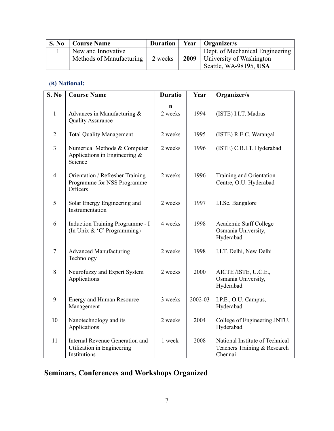| S. No | <b>Course Name</b>       | <b>Duration</b> | Year   Organizer/s                     |
|-------|--------------------------|-----------------|----------------------------------------|
|       | New and Innovative       |                 | Dept. of Mechanical Engineering        |
|       | Methods of Manufacturing | 2 weeks         | <b>2009</b>   University of Washington |
|       |                          |                 | Seattle, WA-98195, USA                 |

## **(B) National:**

| S. No          | <b>Course Name</b>                                                            | <b>Duratio</b> | Year    | Organizer/s                                                                |
|----------------|-------------------------------------------------------------------------------|----------------|---------|----------------------------------------------------------------------------|
|                |                                                                               | n              |         |                                                                            |
| $\mathbf{1}$   | Advances in Manufacturing &<br><b>Quality Assurance</b>                       | 2 weeks        | 1994    | (ISTE) I.I.T. Madras                                                       |
| $\overline{2}$ | <b>Total Quality Management</b>                                               | 2 weeks        | 1995    | (ISTE) R.E.C. Warangal                                                     |
| 3              | Numerical Methods & Computer<br>Applications in Engineering $\&$<br>Science   | 2 weeks        | 1996    | (ISTE) C.B.I.T. Hyderabad                                                  |
| $\overline{4}$ | Orientation / Refresher Training<br>Programme for NSS Programme<br>Officers   | 2 weeks        | 1996    | Training and Orientation<br>Centre, O.U. Hyderabad                         |
| 5              | Solar Energy Engineering and<br>Instrumentation                               | 2 weeks        | 1997    | I.I.Sc. Bangalore                                                          |
| 6              | Induction Training Programme - I<br>(In Unix & 'C' Programming)               | 4 weeks        | 1998    | Academic Staff College<br>Osmania University,<br>Hyderabad                 |
| $\overline{7}$ | <b>Advanced Manufacturing</b><br>Technology                                   | 2 weeks        | 1998    | I.I.T. Delhi, New Delhi                                                    |
| 8              | Neurofuzzy and Expert System<br>Applications                                  | 2 weeks        | 2000    | AICTE /ISTE, U.C.E.,<br>Osmania University,<br>Hyderabad                   |
| 9              | <b>Energy and Human Resource</b><br>Management                                | 3 weeks        | 2002-03 | I.P.E., O.U. Campus,<br>Hyderabad.                                         |
| 10             | Nanotechnology and its<br>Applications                                        | 2 weeks        | 2004    | College of Engineering JNTU,<br>Hyderabad                                  |
| 11             | Internal Revenue Generation and<br>Utilization in Engineering<br>Institutions | 1 week         | 2008    | National Institute of Technical<br>Teachers Training & Research<br>Chennai |

# **Seminars, Conferences and Workshops Organized**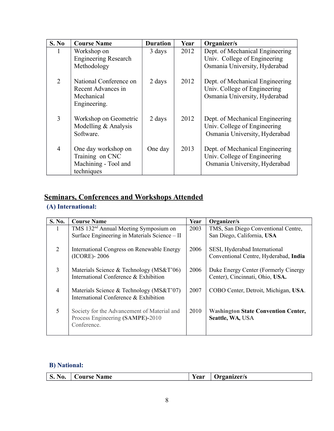| S. No | <b>Course Name</b>                                                           | <b>Duration</b> | Year | Organizer/s                                                                                      |
|-------|------------------------------------------------------------------------------|-----------------|------|--------------------------------------------------------------------------------------------------|
|       | Workshop on<br><b>Engineering Research</b><br>Methodology                    | 3 days          | 2012 | Dept. of Mechanical Engineering<br>Univ. College of Engineering<br>Osmania University, Hyderabad |
| 2     | National Conference on<br>Recent Advances in<br>Mechanical<br>Engineering.   | 2 days          | 2012 | Dept. of Mechanical Engineering<br>Univ. College of Engineering<br>Osmania University, Hyderabad |
| 3     | Workshop on Geometric<br>Modelling & Analysis<br>Software.                   | 2 days          | 2012 | Dept. of Mechanical Engineering<br>Univ. College of Engineering<br>Osmania University, Hyderabad |
| 4     | One day workshop on<br>Training on CNC<br>Machining - Tool and<br>techniques | One day         | 2013 | Dept. of Mechanical Engineering<br>Univ. College of Engineering<br>Osmania University, Hyderabad |

# **Seminars, Conferences and Workshops Attended**

# **(A) International:**

| S. No.         | <b>Course Name</b>                                | Year | Organizer/s                                |
|----------------|---------------------------------------------------|------|--------------------------------------------|
| $\bf{l}$       | TMS 132 <sup>nd</sup> Annual Meeting Symposium on | 2003 | TMS, San Diego Conventional Centre,        |
|                | Surface Engineering in Materials Science - II     |      | San Diego, California, USA                 |
| 2              | International Congress on Renewable Energy        | 2006 | SESI, Hyderabad International              |
|                | (ICORE) - 2006                                    |      | Conventional Centre, Hyderabad, India      |
| 3              | Materials Science & Technology ( $MS&T'06$ )      | 2006 | Duke Energy Center (Formerly Cinergy       |
|                | International Conference & Exhibition             |      | Center), Cincinnati, Ohio, USA.            |
| $\overline{4}$ | Materials Science & Technology ( $MS&T'07$ )      | 2007 | COBO Center, Detroit, Michigan, USA.       |
|                | International Conference & Exhibition             |      |                                            |
| 5              | Society for the Advancement of Material and       | 2010 | <b>Washington State Convention Center,</b> |
|                | Process Engineering (SAMPE)-2010                  |      | Seattle, WA, USA                           |
|                | Conference.                                       |      |                                            |

# **B) National:**

| NO.<br>◡ | <b>Course Name</b> | ⁄ กก พ<br><b>L</b> Ca. | )rganizer/s |
|----------|--------------------|------------------------|-------------|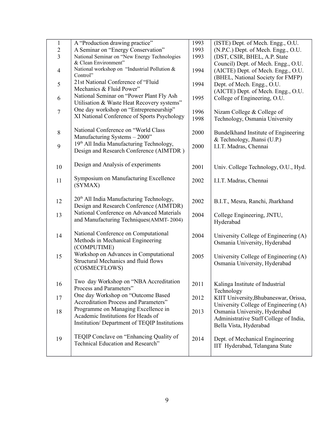| $\mathbf{1}$             | A "Production drawing practice"                      | 1993 | (ISTE) Dept. of Mech. Engg., O.U.      |
|--------------------------|------------------------------------------------------|------|----------------------------------------|
| $\overline{c}$           | A Seminar on "Energy Conservation"                   | 1993 | (N.P.C.) Dept. of Mech. Engg., O.U.    |
| $\overline{3}$           | National Seminar on "New Energy Technologies         | 1993 | (DST, CSIR, BHEL, A.P. State           |
|                          | & Clean Environment"                                 |      | Council) Dept. of Mech. Engg., O.U.    |
| $\overline{\mathcal{A}}$ | National workshop on "Industrial Pollution &         | 1994 | (AICTE) Dept. of Mech. Engg., O.U.     |
|                          | Control"                                             |      | (BHEL, National Society for FMFP)      |
| 5                        | 21st National Conference of "Fluid                   | 1994 |                                        |
|                          | Mechanics & Fluid Power"                             |      | Dept. of Mech. Engg., O.U.             |
|                          | National Seminar on "Power Plant Fly Ash             | 1995 | (AICTE) Dept. of Mech. Engg., O.U.     |
| 6                        | Utilisation & Waste Heat Recovery systems"           |      | College of Engineering, O.U.           |
| $\tau$                   | One day workshop on "Entrepreneurship"               | 1996 | Nizam College & College of             |
|                          | XI National Conference of Sports Psychology          | 1998 |                                        |
|                          |                                                      |      | Technology, Osmania University         |
| $8\,$                    | National Conference on "World Class                  |      |                                        |
|                          | Manufacturing Systems - 2000"                        | 2000 | Bundelkhand Institute of Engineering   |
|                          | 19th All India Manufacturing Technology,             |      | & Technology, Jhansi (U.P.)            |
| 9                        | Design and Research Conference (AIMTDR)              | 2000 | I.I.T. Madras, Chennai                 |
|                          |                                                      |      |                                        |
| 10                       | Design and Analysis of experiments                   | 2001 | Univ. College Technology, O.U., Hyd.   |
|                          |                                                      |      |                                        |
| 11                       | Symposium on Manufacturing Excellence                | 2002 | I.I.T. Madras, Chennai                 |
|                          | (SYMAX)                                              |      |                                        |
|                          |                                                      |      |                                        |
| 12                       | 20 <sup>th</sup> All India Manufacturing Technology, | 2002 | B.I.T., Mesra, Ranchi, Jharkhand       |
|                          | Design and Research Conference (AIMTDR)              |      |                                        |
| 13                       | National Conference on Advanced Materials            | 2004 | College Engineering, JNTU,             |
|                          | and Manufacturing Techniques (AMMT-2004)             |      | Hyderabad                              |
|                          |                                                      |      |                                        |
| 14                       | National Conference on Computational                 | 2004 | University College of Engineering (A)  |
|                          | Methods in Mechanical Engineering                    |      | Osmania University, Hyderabad          |
|                          | (COMPUTIME)                                          |      |                                        |
| 15                       | Workshop on Advances in Computational                | 2005 | University College of Engineering (A)  |
|                          | Structural Mechanics and fluid flows                 |      | Osmania University, Hyderabad          |
|                          | (COSMECFLOWS)                                        |      |                                        |
|                          |                                                      |      |                                        |
| 16                       | Two day Workshop on "NBA Accreditation               | 2011 | Kalinga Institute of Industrial        |
|                          | Process and Parameters"                              |      | Technology                             |
| 17                       | One day Workshop on "Outcome Based                   | 2012 | KIIT University, Bhubaneswar, Orissa,  |
|                          | <b>Accreditation Process and Parameters"</b>         |      | University College of Engineering (A)  |
| 18                       | Programme on Managing Excellence in                  | 2013 | Osmania University, Hyderabad          |
|                          | Academic Institutions for Heads of                   |      | Administrative Staff College of India, |
|                          | Institution/ Department of TEQIP Institutions        |      | Bella Vista, Hyderabad                 |
|                          |                                                      |      |                                        |
| 19                       | TEQIP Conclave on "Enhancing Quality of              | 2014 | Dept. of Mechanical Engineering        |
|                          | Technical Education and Research"                    |      | IIT Hyderabad, Telangana State         |
|                          |                                                      |      |                                        |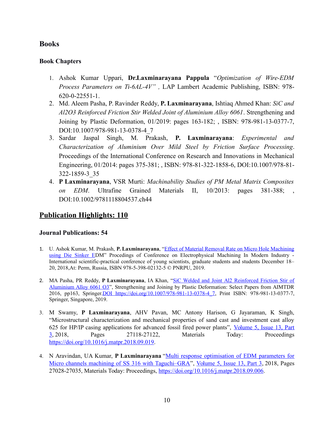#### **Books**

#### **Book Chapters**

- 1. Ashok Kumar Uppari, **Dr.Laxminarayana Pappula** "*Optimization of Wire-EDM Process Parameters on Ti-6AL-4V" ,* LAP Lambert Academic Publishing, ISBN: 978- 620-0-22551-1.
- 2. Md. Aleem Pasha, P. Ravinder Reddy, **P. Laxminarayana**, Ishtiaq Ahmed Khan: *SiC and Al2O3 Reinforced Friction Stir Welded Joint of Aluminium Alloy 6061*. Strengthening and Joining by Plastic Deformation, 01/2019: pages 163-182; , ISBN: 978-981-13-0377-7, DOI:10.1007/978-981-13-0378-4\_7
- 3. Sardar Jaspal Singh, M. Prakash, **P. Laxminarayana**: *Experimental and Characterization of Aluminium Over Mild Steel by Friction Surface Processing*. Proceedings of the International Conference on Research and Innovations in Mechanical Engineering, 01/2014: pages 375-381; , ISBN: 978-81-322-1858-6, DOI:10.1007/978-81- 322-1859-3\_35
- 4. **P Laxminarayana**, VSR Murti: *Machinability Studies of PM Metal Matrix Composites* EDM. Ultrafine Grained Materials II, 10/2013: pages 381-388; , DOI:10.1002/9781118804537.ch44

# **Publication Highlights: 110**

#### **Journal Publications: 54**

- 1. U. Ashok Kumar, M. Prakash, **P. Laxminarayana**, ["Effect of Material Removal Rate on Micro Hole Machining](javascript:void(0)) [using Die Sinker ED](javascript:void(0))M" Procedings of Conference on Electrophysical Machining In Modern Industry - International scientific-practical conference of young scientists, graduate students and students December 18– 20, 2018,At: Perm, Russia, ISBN 978-5-398-02132-5 © PNRPU, 2019.
- 2. MA Pasha, PR Reddy, **P Laxminarayana**, IA Khan, ["SiC Welded and Joint Al2 Reinforced Friction Stir of](https://scholar.google.co.in/scholar?oi=bibs&cluster=12658243280095022958&btnI=1&hl=en) [Aluminium Alloy 6061 O3"](https://scholar.google.co.in/scholar?oi=bibs&cluster=12658243280095022958&btnI=1&hl=en), Strengthening and Joining by Plastic Deformation: Select Papers from AIMTDR 2016, pp163, Springer. DOI https://doi.org/10.1007/978-981-13-0378-4\_7, Print ISBN: 978-981-13-0377-7, Springer, Singapore, 2019.
- 3. M Swamy, **P Laxminarayana**, AHV Pavan, MC Antony Harison, G Jayaraman, K Singh, "Microstructural characterization and mechanical properties of sand cast and investment cast alloy 625 for HP/IP casing applications for advanced fossil fired power plants", [Volume 5, Issue 13, Part](https://www.sciencedirect.com/science/journal/22147853/5/13/part/P3) [3,](https://www.sciencedirect.com/science/journal/22147853/5/13/part/P3) 2018, Pages 27118-27122, Materials Today: Proceedings [https://doi.org/10.1016/j.matpr.2018.09.019.](https://doi.org/10.1016/j.matpr.2018.09.019)
- 4. N Aravindan, UA Kumar, P Laxminarayana ["Multi response optimisation of EDM parameters for](https://scholar.google.co.in/scholar?oi=bibs&cluster=9316763744721466665&btnI=1&hl=en) [Micro channels machining of SS 316 with Taguchi–GRA"](https://scholar.google.co.in/scholar?oi=bibs&cluster=9316763744721466665&btnI=1&hl=en), [Volume 5, Issue 13, Part 3,](https://www.sciencedirect.com/science/journal/22147853/5/13/part/P3) 2018, Pages 27028-27035, Materials Today: Proceedings, [https://doi.org/10.1016/j.matpr.2018.09.006.](https://doi.org/10.1016/j.matpr.2018.09.006)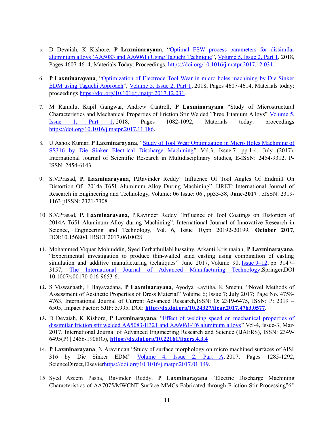- 5. D Devaiah, K Kishore, **P Laxminarayana**, ["Optimal FSW process parameters for dissimilar](https://scholar.google.co.in/scholar?oi=bibs&cluster=4594256314277356585&btnI=1&hl=en) [aluminium alloys \(AA5083 and AA6061\) Using Taguchi Technique"](https://scholar.google.co.in/scholar?oi=bibs&cluster=4594256314277356585&btnI=1&hl=en), [Volume 5, Issue 2, Part 1,](https://www.sciencedirect.com/science/journal/22147853/5/2/part/P1) 2018, Pages 4607-4614, Materials Today: Proceedings, [https://doi.org/10.1016/j.matpr.2017.12.031.](https://doi.org/10.1016/j.matpr.2017.12.031)
- 6. **P Laxminarayana**, ["Optimization of Electrode Tool Wear in micro holes machining by Die Sinker](https://www.sciencedirect.com/science/article/pii/S221478531732549X) [EDM using Taguchi Approach"](https://www.sciencedirect.com/science/article/pii/S221478531732549X), [Volume 5, Issue 2, Part 1,](https://www.sciencedirect.com/science/journal/22147853/5/2/part/P1) 2018, Pages 4607-4614, Materials today: proceedings [https://doi.org/10.1016/j.matpr.2017.12.031.](https://doi.org/10.1016/j.matpr.2017.12.031)
- 7. M Ramulu, Kapil Gangwar, Andrew Cantrell, **P Laxminarayana** "Study of Microstructural Characteristics and Mechanical Properties of Friction Stir Welded Three Titanium Alloys" [Volume 5,](https://www.sciencedirect.com/science/journal/22147853/5/1/part/P1) [Issue 1, Part 1,](https://www.sciencedirect.com/science/journal/22147853/5/1/part/P1) 2018, Pages 1082-1092, Materials today: proceedings [https://doi.org/10.1016/j.matpr.2017.11.186.](https://doi.org/10.1016/j.matpr.2017.11.186)
- 8. U Ashok Kumar, **P Laxminarayana**, ["Study of Tool Wear Optimization in Micro Holes Machining of](https://www.researchgate.net/profile/Laxminarayana_P/publication/318959605_Study_of_Tool_Wear_Optimization_in_Micro_Holes_Machining_of_SS316_by_Die_Sinker_Electrical_Discharge_Machining/links/5988182a45851560584e1d7b/Study-of-Tool-Wear-Optimization-in-Micro-Holes-Machining-of-SS316-by-Die-Sinker-Electrical-Discharge-Machining.pdf) [SS316 by Die Sinker Electrical Discharge Machining"](https://www.researchgate.net/profile/Laxminarayana_P/publication/318959605_Study_of_Tool_Wear_Optimization_in_Micro_Holes_Machining_of_SS316_by_Die_Sinker_Electrical_Discharge_Machining/links/5988182a45851560584e1d7b/Study-of-Tool-Wear-Optimization-in-Micro-Holes-Machining-of-SS316-by-Die-Sinker-Electrical-Discharge-Machining.pdf) Vol.3, Issue.7, pp.1-4, July (2017), International Journal of Scientific Research in Multidisciplinary Studies, E-ISSN: 2454-9312, P-ISSN: 2454-6143.
- 9. S.V.Prasad, **P. Laxminarayana**, P.Ravinder Reddy" Influence Of Tool Angles Of Endmill On Distortion Of 2014a T651 Aluminum Alloy During Machining", IJRET: International Journal of Research in Engineering and Technology, Volume: 06 Issue: 06 , pp33-38, **June-2017** . eISSN: 2319- 1163 pISSN: 2321-7308
- 10. S.V.Prasad, **P. Laxminarayana**, P.Ravinder Reddy "Influence of Tool Coatings on Distortion of 2014A T651 Aluminum Alloy during Machining", International Journal of Innovative Research in Science, Engineering and Technology, Vol. 6, Issue 10,pp 20192-20199, **October 2017**, DOI:10.15680/IJIRSET.2017.0610028
- **11.** Mohammed Viquar Mohiuddin, Syed FerhathullahHussainy, Arkanti Krishnaiah, **P Laxminarayana**, "Experimental investigation to produce thin-walled sand casting using combination of casting simulation and additive manufacturing techniques" June 2017, Volume 90, [Issue](https://link.springer.com/journal/170/90/9/page/1)  $9-12$ , pp 3147– 3157, [The International Journal of Advanced Manufacturing Technology,](https://link.springer.com/journal/170)Springer,DOI 10.1007/s00170-016-9653-6.
- **12.** S Viswanaath, J Hayavadana, **P Laxminarayana**, Ayodya Kavitha, K Sreenu, "Novel Methods of Assessment of Aesthetic Properties of Dress Material" Volume 6; Issue 7; July 2017; Page No. 4758- 4763, International Journal of Current Advanced Research,ISSN: O: 2319-6475, ISSN: P: 2319 – 6505, Impact Factor: SJIF: 5.995, DOI: **<http://dx.doi.org/10.24327/ijcar.2017.4763.0577>**.
- **13.** D Devaiah, K Kishore, **P Laxminarayana**, ["Effect of welding speed on mechanical properties of](https://www.neliti.com/publications/237069/effect-of-welding-speed-on-mechanical-properties-of-dissimilar-friction-stir-wel) [dissimilar friction stir welded AA5083-H321 and AA6061-T6 aluminum alloys"](https://www.neliti.com/publications/237069/effect-of-welding-speed-on-mechanical-properties-of-dissimilar-friction-stir-wel) Vol-4, Issue-3, Mar-2017, International Journal of Advanced Engineering Research and Science (IJAERS), ISSN: 2349- 6495(P) | 2456-1908(O), **<https://dx.doi.org/10.22161/ijaers.4.3.4>**
- 14. **P Laxminarayana**, N Aravindan "Study of surface morphology on micro machined surfaces of AISI 316 by Die Sinker EDM" [Volume 4, Issue 2, Part A,](https://www.sciencedirect.com/science/journal/22147853/4/2/part/PA) 2017, Pages 1285-1292, ScienceDirect,Elsevie[rhttps://doi.org/10.1016/j.matpr.2017.01.149.](https://doi.org/10.1016/j.matpr.2017.01.149)
- 15. Syed Azeem Pasha, Ravinder Reddy, **P Laxminarayana** "Electric Discharge Machining Characteristics of AA7075/MWCNT Surface MMCs Fabricated through Friction Stir Processing"6<sup>th</sup>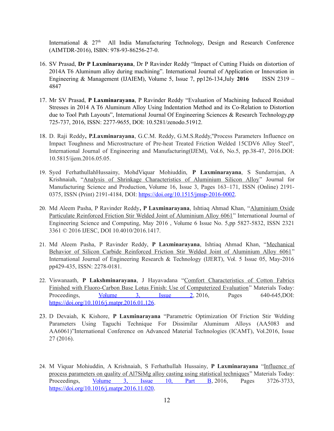International  $\&$  27<sup>th</sup> All India Manufacturing Technology, Design and Research Conference (AIMTDR-2016), ISBN: 978-93-86256-27-0.

- 16. SV Prasad, **Dr P Laxminarayana**, Dr P Ravinder Reddy "Impact of Cutting Fluids on distortion of 2014A T6 Aluminum alloy during machining". International Journal of Application or Innovation in Engineering & Management (IJAIEM), Volume 5, Issue 7, pp126-134,July **2016** ISSN 2319 – 4847
- 17. Mr SV Prasad, **P Laxminarayana**, P Ravinder Reddy "Evaluation of Machining Induced Residual Stresses in 2014 A T6 Aluminum Alloy Using Indentation Method and its Co-Relation to Distortion due to Tool Path Layouts", International Journal Of Engineering Sciences & Research Technology,pp 725-737, 2016, ISSN: 2277-9655, DOI: 10.5281/zenodo.51912.
- 18. D. Raji Reddy**, P.Laxminarayana**, G.C.M. Reddy, G.M.S.Reddy,"Process Parameters Influence on Impact Toughness and Microstructure of Pre-heat Treated Friction Welded 15CDV6 Alloy Steel", International Journal of Engineering and Manufacturing(IJEM), Vol.6, No.5, pp.38-47, 2016.DOI: 10.5815/ijem.2016.05.05.
- 19. Syed FerhathullahHussainy, MohdViquar Mohiuddin, **P Laxminarayana**, S Sundarrajan, A Krishnaiah, ["Analysis of Shrinkage Characteristics of Aluminium Silicon Alloy"](https://www.degruyter.com/view/j/ijmsp.ahead-of-print/jmsp-2016-0002/jmsp-2016-0002.xml) Journal for Manufacturing Science and Production, Volume 16, Issue 3, Pages 163–171, ISSN (Online) 2191 0375, ISSN (Print) 2191-4184, DOI: [https://doi.org/10.1515/jmsp-2016-0002.](https://doi.org/10.1515/jmsp-2016-0002)
- 20. Md Aleem Pasha, P Ravinder Reddy**, P Laxminarayana**, Ishtiaq Ahmad Khan, ["Aluminium Oxide](http://www.academia.edu/download/46332264/Aluminium_Oxide_Particulate_Reinforced_Friction_Stir_Welded_Joint_of_Aluminium_Alloy_6061.pdf) [Particulate Reinforced Friction Stir Welded Joint of Aluminium Alloy 6061"](http://www.academia.edu/download/46332264/Aluminium_Oxide_Particulate_Reinforced_Friction_Stir_Welded_Joint_of_Aluminium_Alloy_6061.pdf) International Journal of Engineering Science and Computing, May 2016 , Volume 6 Issue No. 5,pp 5827-5832, ISSN 2321 3361 © 2016 IJESC, DOI 10.4010/2016.1417.
- 21. Md Aleem Pasha, P Ravinder Reddy, **P Laxminarayana**, Ishtiaq Ahmad Khan, ["Mechanical](https://www.researchgate.net/profile/Ravinder_Reddy_Pinninti/publication/303483466_Mechanical_Behavior_of_Silicon_Carbide_Reinforced_Friction_Stir_Welded_Joint_of_Aluminium_Alloy_6061/links/5764024e08aedbc345e92583/Mechanical-Behavior-of-Silicon-Carbide-Reinforced-Friction-Stir-Welded-Joint-of-Aluminium-Alloy-6061.pdf) [Behavior of Silicon Carbide Reinforced Friction Stir Welded Joint of Aluminium Alloy 6061"](https://www.researchgate.net/profile/Ravinder_Reddy_Pinninti/publication/303483466_Mechanical_Behavior_of_Silicon_Carbide_Reinforced_Friction_Stir_Welded_Joint_of_Aluminium_Alloy_6061/links/5764024e08aedbc345e92583/Mechanical-Behavior-of-Silicon-Carbide-Reinforced-Friction-Stir-Welded-Joint-of-Aluminium-Alloy-6061.pdf) International Journal of Engineering Research & Technology (IJERT), Vol. 5 Issue 05, May-2016 pp429-435, ISSN: 2278-0181.
- 22. Viswanaath, **P Lakshminarayana**, J Hayavadana ["Comfort Characteristics of Cotton Fabrics](https://www.sciencedirect.com/science/article/pii/S2214785316001279) [Finished with Fluoro-Carbon Base Lotus Finish: Use of Computerized Evaluation"](https://www.sciencedirect.com/science/article/pii/S2214785316001279) Materials Today: Proceedings, [Volume 3, Issue 2,](https://www.sciencedirect.com/science/journal/22147853/3/2) 2016, Pages 640-645,DOI: [https://doi.org/10.1016/j.matpr.2016.01.126.](https://doi.org/10.1016/j.matpr.2016.01.126)
- 23. D Devaiah, K Kishore, **P Laxminarayana** "Parametric Optimization Of Friction Stir Welding Parameters Using Taguchi Technique For Dissimilar Aluminum Alloys (AA5083 and AA6061)"International Conference on Advanced Material Technologies (ICAMT), Vol.2016, Issue 27 (2016).
- 24. M Viquar Mohiuddin, A Krishnaiah, S Ferhathullah Hussainy, **P Laxminarayana** ["Influence of](https://www.sciencedirect.com/science/article/pii/S2214785316303935) [process parameters on quality of Al7SiMg alloy casting using statistical techniques"](https://www.sciencedirect.com/science/article/pii/S2214785316303935) Materials Today: Proceedings, [Volume 3, Issue 10, Part B,](file:///tmp/dpe/496263f4207a/59c8f4d0-15cf-4543-a799-53e8ea64b905-8038195330862015460/Volume%203,%20Issue%2010,%20Part%20B) 2016, Pages 3726-3733, [https://doi.org/10.1016/j.matpr.2016.11.020.](https://doi.org/10.1016/j.matpr.2016.11.020)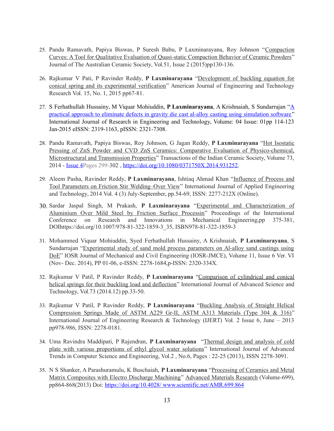- 25. Pandu Ramavath, Papiya Biswas, P Suresh Babu, P Laxminarayana, Roy Johnson "[Compaction](http://scholar.google.com/scholar?cluster=16617356484436604353&hl=en&oi=scholarr) [Curves: A Tool for Qualitative Evaluation of Quasi-static Compaction Behavior of Ceramic Powders"](http://scholar.google.com/scholar?cluster=16617356484436604353&hl=en&oi=scholarr) Journal of The Australian Ceramic Society, Vol.51, Issue 2 (2015)pp130-136.
- 26. Rajkumar V Pati, P Ravinder Reddy, **P Laxminarayana** ["Development of buckling equation for](http://www.ajetr.org/vol15/no1/n12.pdf) [conical spring and its experimental verification"](http://www.ajetr.org/vol15/no1/n12.pdf) American Journal of Engineering and Technology Research Vol. 15, No. 1, 2015 pp67-81.
- 27. S Ferhathullah Hussainy, M Viquar Mohiuddin, **P Laxminarayana**, A Krishnaiah, S Sundarrajan ["A](http://www.academia.edu/download/41771309/A_PRACTICAL_APPROACH_TO_ELIMINATE_DEFECTS_IN_GRAVITY_DIE_CAST_AL-ALLOY_CASTING_USING_SIMULATION_SOFTWARE.pdf) [practical approach to eliminate defects in gravity die cast al-alloy casting using simulation software"](http://www.academia.edu/download/41771309/A_PRACTICAL_APPROACH_TO_ELIMINATE_DEFECTS_IN_GRAVITY_DIE_CAST_AL-ALLOY_CASTING_USING_SIMULATION_SOFTWARE.pdf) International Journal of Research in Engineering and Technology, Volume: 04 Issue: 01pp 114-123 Jan-2015 eISSN: 2319-1163, pISSN: 2321-7308.
- 28. Pandu Ramavath, Papiya Biswas, Roy Johnson, G Jagan Reddy, **P Laxminarayana** ["Hot Isostatic](https://www.tandfonline.com/doi/abs/10.1080/0371750X.2014.931252) [Pressing of ZnS Powder and CVD ZnS Ceramics: Comparative Evaluation of Physico-chemical,](https://www.tandfonline.com/doi/abs/10.1080/0371750X.2014.931252) [Microstructural and Transmission Properties"](https://www.tandfonline.com/doi/abs/10.1080/0371750X.2014.931252) Transactions of the Indian Ceramic Society, Volume 73, 2014 - <u>Issue</u> 4Pages 299-302, [https://doi.org/10.1080/0371750X.2014.931252.](https://doi.org/10.1080/0371750X.2014.931252)
- 29. Aleem Pasha, Ravinder Reddy, **P Laxminarayana**, Ishtiaq Ahmad Khan ["Influence of Process and](http://www.academia.edu/download/46332248/aleem_Phasha_INFLUENCE_OF_PROCESS_AND_TOOL_PARAMETERS_ON_FRICTION.pdf) [Tool Parameters on Friction Stir Welding–Over View"](http://www.academia.edu/download/46332248/aleem_Phasha_INFLUENCE_OF_PROCESS_AND_TOOL_PARAMETERS_ON_FRICTION.pdf) International Journal of Applied Engineering and Technology, 2014 Vol. 4 (3) July-September, pp.54-69, ISSN: 2277-212X (Online).
- 30. Sardar Jaspal Singh, M Prakash, **P Laxminarayana** ["Experimental and Characterization of](https://link.springer.com/chapter/10.1007/978-81-322-1859-3_35) [Aluminium Over Mild Steel by Friction Surface Processin"](https://link.springer.com/chapter/10.1007/978-81-322-1859-3_35) Proceedings of the International Conference on Research and Innovations in Mechanical Engineering,pp 375-381, DOIhttps://doi.org/10.1007/978-81-322-1859-3\_35, ISBN978-81-322-1859-3
- 31. Mohammed Viquar Mohiuddin, Syed Ferhathullah Hussainy, A Krishnaiah, **P Laxminarayana**, S Sundarrajan ["Experimental study of sand mold process parameters on Al-alloy sand castings using](http://www.academia.edu/download/36716099/A011660106.pdf) [DoE"](http://www.academia.edu/download/36716099/A011660106.pdf) IOSR Journal of Mechanical and Civil Engineering (IOSR-JMCE), Volume 11, Issue 6 Ver. VI (Nov- Dec. 2014), PP 01-06, e-ISSN: 2278-1684,p-ISSN: 2320-334X.
- 32. Rajkumar V Patil, P Ravinder Reddy, **P Laxminarayana** ["Comparison of cylindrical and conical](https://www.earticle.net/Article/A236812) [helical springs for their buckling load and deflection"](https://www.earticle.net/Article/A236812) International Journal of Advanced Science and Technology, Vol.73 (2014.12) pp.33-50.
- 33. Rajkumar V Patil, P Ravinder Reddy, **P Laxminarayana** ["Buckling Analysis of Straight Helical](https://www.researchgate.net/profile/Rajkumar_Patil6/publication/263652223_Buckling_Analysis_of_straight_helical_compression_springs_made_of_ASTM_A229_Gr-II_ASTM_A313_materials_Type_304_316/links/0f31753b6a7b6a32a4000000/Buckling-Analysis-of-straight-helical-compression-springs-made-of-ASTM-A229-Gr-II-ASTM-A313-materials-Type-304-316.pdf) [Compression Springs Made of ASTM A229 Gr-II, ASTM A313 Materials \(Type 304 & 316\)"](https://www.researchgate.net/profile/Rajkumar_Patil6/publication/263652223_Buckling_Analysis_of_straight_helical_compression_springs_made_of_ASTM_A229_Gr-II_ASTM_A313_materials_Type_304_316/links/0f31753b6a7b6a32a4000000/Buckling-Analysis-of-straight-helical-compression-springs-made-of-ASTM-A229-Gr-II-ASTM-A313-materials-Type-304-316.pdf) International Journal of Engineering Research & Technology (IJERT) Vol. 2 Issue 6, June – 2013 pp978-986, ISSN: 2278-0181.
- 34. Uma Ravindra Maddipati, P Rajendran, **P Laxminarayana** ["Thermal design and analysis of cold](http://citeseerx.ist.psu.edu/viewdoc/download?doi=10.1.1.476.3756&rep=rep1&type=pdf) [plate with various proportions of ethyl glycol water solutions"](http://citeseerx.ist.psu.edu/viewdoc/download?doi=10.1.1.476.3756&rep=rep1&type=pdf) International Journal of Advanced Trends in Computer Science and Engineering, Vol.2 , No.6, Pages : 22-25 (2013), ISSN 2278-3091.
- 35. N S Shanker, A Parashuramulu, K Buschaiah, **P Laxminarayana** ["Processing of Ceramics and Metal](https://www.scientific.net/AMR.699.864.pdf) [Matrix Composites with Electro Discharge Machining"](https://www.scientific.net/AMR.699.864.pdf) [Advanced Materials Research](https://www.scientific.net/AMR) (Volume-699), pp864-868(2013) Doi: [https://doi.org/10.4028/ www.scientific.net/AMR.699.864](https://doi.org/10.4028/%20www.scientific.net/AMR.699.864)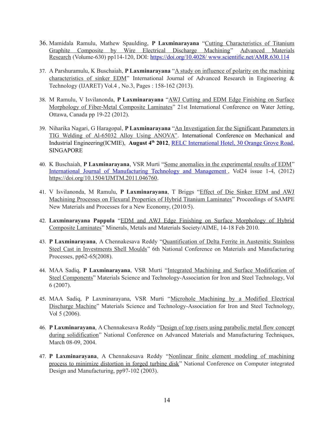- 36. Mamidala Ramulu, Mathew Spaulding, **P Laxminarayana** ["Cutting Characteristics of Titanium](https://www.scientific.net/AMR.630.114) [Graphite Composite by Wire Electrical Discharge Machining"](https://www.scientific.net/AMR.630.114) [Advanced Materials](https://www.scientific.net/AMR) [Research](https://www.scientific.net/AMR) (Volume-630) pp114-120, DOI: [https://doi.org/10.4028/ www.scientific.net/AMR.630.114](https://doi.org/10.4028/%20www.scientific.net/AMR.630.114)
- 37. A Parshuramulu, K Buschaiah, **P Laxminarayana** ["A study on influence of polarity on the machining](http://scholar.google.com/scholar?cluster=12873000284961858117&hl=en&oi=scholarr) [characteristics of sinker EDM"](http://scholar.google.com/scholar?cluster=12873000284961858117&hl=en&oi=scholarr) International Journal of Advanced Research in Engineering & Technology (IJARET) Vol.4 , No.3, Pages : 158-162 (2013).
- 38. M Ramulu, V Isvilanonda, **P Laxminarayana** ["AWJ Cutting and EDM Edge Finishing on Surface](http://scholar.google.com/scholar?cluster=7187588322359692981&hl=en&oi=scholarr) [Morphology of Fiber-Metal Composite Laminates"](http://scholar.google.com/scholar?cluster=7187588322359692981&hl=en&oi=scholarr) 21st International Conference on Water Jetting, Ottawa, Canada pp 19-22 (2012).
- 39. Niharika Nagari, G Haragopal, **P Laxminarayana** ["An Investigation for the Significant Parameters in](http://scholar.google.com/scholar?cluster=6976824051235618305&hl=en&oi=scholarr) [TIG Welding of Al-65032 Alloy Using ANOVA".](http://scholar.google.com/scholar?cluster=6976824051235618305&hl=en&oi=scholarr) International Conference on Mechanical and Industrial Engineering(ICMIE), **August 4th 2012**, [RELC International Hotel, 30 Orange Grove Road,](http://www.relcih.com.sg/) **SINGAPORE**
- 40. K Buschaiah, **P Laxminarayana**, VSR Murti ["Some anomalies in the experimental results of EDM"](https://www.inderscienceonline.com/doi/abs/10.1504/IJMTM.2011.046760) International Journal of Manufacturing Technology and Management, Vol24 issue 1-4, (2012) [https://doi.org/10.1504/IJMTM.2011.046760.](https://doi.org/10.1504/IJMTM.2011.046760)
- 41. V Isvilanonda, M Ramulu, **P Laxminarayana**, T Briggs ["Effect of Die Sinker EDM and AWJ](https://www.researchgate.net/profile/M_Ramulu/publication/286175541_EDM_and_AWJ_edge_finishing_on_surface_morphology_of_hybrid_composite_laminates/links/5ac4e699a6fdcc3959f6a94e/EDM-and-AWJ-edge-finishing-on-surface-morphology-of-hybrid-composite-laminates.pdf) [Machining Processes on Flexural Properties of Hybrid Titanium Laminates"](https://www.researchgate.net/profile/M_Ramulu/publication/286175541_EDM_and_AWJ_edge_finishing_on_surface_morphology_of_hybrid_composite_laminates/links/5ac4e699a6fdcc3959f6a94e/EDM-and-AWJ-edge-finishing-on-surface-morphology-of-hybrid-composite-laminates.pdf) Proceedings of SAMPE New Materials and Processes for a New Economy, (2010/5).
- 42. **Laxminarayana Pappula** ["EDM and AWJ Edge Finishing on Surface Morphology of Hybrid](http://scholar.google.com/scholar?cluster=4903752716117713962&hl=en&oi=scholarr) [Composite Laminates"](http://scholar.google.com/scholar?cluster=4903752716117713962&hl=en&oi=scholarr) Minerals, Metals and Materials Society/AIME, 14-18 Feb 2010.
- 43. **P Laxminarayana**, A Chennakesava Reddy ["Quantification of Delta Ferrite in Austenitic Stainless](http://scholar.google.com/scholar?cluster=13197620859274228435&hl=en&oi=scholarr) [Steel Cast in Investments Shell Moulds"](http://scholar.google.com/scholar?cluster=13197620859274228435&hl=en&oi=scholarr) 6th National Conference on Materials and Manufacturing Processes, pp62-65(2008).
- 44. MAA Sadiq, **P Laxminarayana**, VSR Murti ["Integrated Machining and Surface Modification of](http://scholar.google.com/scholar?cluster=10235461822985746747&hl=en&oi=scholarr) [Steel Components"](http://scholar.google.com/scholar?cluster=10235461822985746747&hl=en&oi=scholarr) Materials Science and Technology-Association for Iron and Steel Technology, Vol 6 (2007).
- 45. MAA Sadiq, P Laxminarayana, VSR Murti ["Microhole Machining by a Modified Electrical](http://scholar.google.com/scholar?cluster=5689010349544971050&hl=en&oi=scholarr) [Discharge Machine"](http://scholar.google.com/scholar?cluster=5689010349544971050&hl=en&oi=scholarr) Materials Science and Technology-Association for Iron and Steel Technology, Vol 5 (2006).
- 46. **P Laxminarayana**, A Chennakesava Reddy ["Design of top risers using parabolic metal flow concept](http://jntuhceh.ac.in/web/tutorials/faculty/698_nc022-2004.pdf) [during solidification"](http://jntuhceh.ac.in/web/tutorials/faculty/698_nc022-2004.pdf) National Conference on Advanced Materials and Manufacturing Techniques, March 08-09, 2004.
- 47. **P Laxminarayana**, A Chennakesava Reddy ["Nonlinear finite element modeling of machining](http://jntuhceh.org/web/tutorials/faculty/685_nc014-2003.pdf) [process to minimize distortion in forged turbine disk"](http://jntuhceh.org/web/tutorials/faculty/685_nc014-2003.pdf) National Conference on Computer integrated Design and Manufacturing, pp97-102 (2003).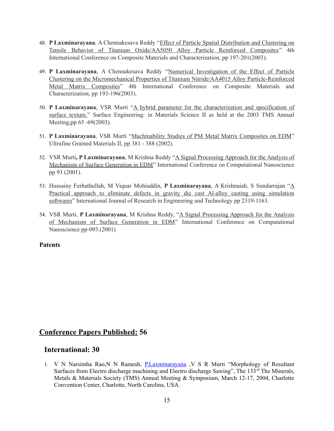- 48. **P Laxminarayana**, A Chennakesava Reddy ["Effect of Particle Spatial Distribution and Clustering on](http://jntuhceh.org/web/tutorials/faculty/1297_TiO-5050.pdf) [Tensile Behavior of Titanium Oxide/AA5050 Alloy Particle Reinforced Composites"](http://jntuhceh.org/web/tutorials/faculty/1297_TiO-5050.pdf) 4th International Conference on Composite Materials and Characterization, pp 197-201(2003).
- 49. **P Laxminarayana**, A Chennakesava Reddy ["Numerical Investigation of the Effect of Particle](https://jntuhceh.ac.in/faculty_portal/uploads/staff_downloads/1296_TiN-4015.pdf) [Clustering on the Micromechanical Properties of Titanium Nitride/AA4015 Alloy Particle-Reinforced](https://jntuhceh.ac.in/faculty_portal/uploads/staff_downloads/1296_TiN-4015.pdf) [Metal Matrix Composites"](https://jntuhceh.ac.in/faculty_portal/uploads/staff_downloads/1296_TiN-4015.pdf) 4th International Conference on Composite Materials and Characterization, pp 193-196(2003).
- 50. **P Laxminarayana**, VSR Murti ["A hybrid parameter for the characterization and specification of](http://scholar.google.com/scholar?cluster=8547775351104145026&hl=en&oi=scholarr) [surface texture."](http://scholar.google.com/scholar?cluster=8547775351104145026&hl=en&oi=scholarr) Surface Engineering: in Materials Science II as held at the 2003 TMS Annual Meeting,pp 65 -69(2003).
- 51. **P Laxminarayana**, VSR Murti ["Machinability Studies of PM Metal Matrix Composites on EDM"](https://onlinelibrary.wiley.com/doi/abs/10.1002/9781118804537.ch44) Ultrafine Grained Materials II, pp 381 - 388 (2002).
- 52. VSR Murti**, P Laxminarayana**, M Krishna Reddy ["A Signal Processing Approach for the Analysis of](http://scholar.google.com/scholar?cluster=3493497744145788171&hl=en&oi=scholarr) [Mechanism of Surface Generation in EDM"](http://scholar.google.com/scholar?cluster=3493497744145788171&hl=en&oi=scholarr) International Conference on Computational Nanoscience pp 93 (2001).
- 53. Hussainy Ferhathullah, M Viquar Mohiuddin, **P Laxminarayana**, A Krishnaiah, S Sundarrajan ["A](http://scholar.google.com/scholar?cluster=4191711805500595585&hl=en&oi=scholarr) [Practical approach to eliminate defects in gravity die cast Al-alloy casting using simulation](http://scholar.google.com/scholar?cluster=4191711805500595585&hl=en&oi=scholarr) [softwares"](http://scholar.google.com/scholar?cluster=4191711805500595585&hl=en&oi=scholarr) International Journal of Research in Engineering and Technology pp 2319-1163.
- 54. VSR Murti, **P Laxminarayana**, M Krishna Reddy, ["A Signal Processing Approach for the Analysis](http://scholar.google.com/scholar?cluster=3493497744145788171&hl=en&oi=scholarr) [of Mechanism of Surface Generation in EDM"](http://scholar.google.com/scholar?cluster=3493497744145788171&hl=en&oi=scholarr) International Conference on Computational Nanoscience pp-093.(2001)

#### **Patents**

#### **Conference Papers Published: 56**

#### **International: 30**

1. V N Narsimha Rao,N N Ramesh, [P.Laxminarayana](https://scholar.google.co.in/citations?user=3F_u2UEAAAAJ&hl=en&oi=sra) ,V S R Murti "Morphology of Resultant Surfaces from Electro discharge machining and Electro discharge Sawing", The 133<sup>rd</sup> The Minerals, Metals & Materials Society (TMS) Annual Meeting & Symposium, March 12-17, 2004, Charlotte Convention Center, Charlotte, North Carolina, USA.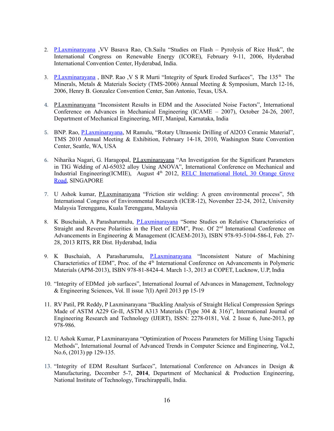- 2. [P.Laxminarayana](https://scholar.google.co.in/citations?user=3F_u2UEAAAAJ&hl=en&oi=sra) ,VV Basava Rao, Ch.Sailu "Studies on Flash Pyrolysis of Rice Husk", the International Congress on Renewable Energy (ICORE), February 9-11, 2006, Hyderabad International Convention Center, Hyderabad, India.
- 3. P.Laxminarayana, BNP. Rao, V S R Murti "Integrity of Spark Eroded Surfaces", The 135<sup>th</sup> The Minerals, Metals & Materials Society (TMS-2006) Annual Meeting & Symposium, March 12-16, 2006, Henry B. Gonzalez Convention Center, San Antonio, Texas, USA.
- 4. [P.Laxminarayana](https://scholar.google.co.in/citations?user=3F_u2UEAAAAJ&hl=en&oi=sra) "Inconsistent Results in EDM and the Associated Noise Factors", International Conference on Advances in Mechanical Engineering (ICAME – 2007), October 24-26, 2007, Department of Mechanical Engineering, MIT, Manipal, Karnataka, India
- 5. BNP. Rao, [P.Laxminarayana,](https://scholar.google.co.in/citations?user=3F_u2UEAAAAJ&hl=en&oi=sra) M Ramulu, "Rotary Ultrasonic Drilling of Al2O3 Ceramic Material", TMS 2010 Annual Meeting & Exhibition, February 14-18, 2010, Washington State Convention Center, Seattle, WA, USA
- 6. Niharika Nagari, G. Haragopal, [P.Laxminarayana](https://scholar.google.co.in/citations?user=3F_u2UEAAAAJ&hl=en&oi=sra) "An Investigation for the Significant Parameters in TIG Welding of Al-65032 alloy Using ANOVA", International Conference on Mechanical and Industrial Engineering(ICMIE), August 4<sup>th</sup> 2012, [RELC International Hotel, 30 Orange Grove](http://www.relcih.com.sg/) [Road,](http://www.relcih.com.sg/) SINGAPORE
- 7. U Ashok kumar, [P.Laxminarayana](https://scholar.google.co.in/citations?user=3F_u2UEAAAAJ&hl=en&oi=sra) "Friction stir welding: A green environmental process", 5th International Congress of Environmental Research (ICER-12), November 22-24, 2012, University Malaysia Terengganu, Kuala Terengganu, Malaysia
- 8. K Buschaiah, A Parasharumulu, [P.Laxminarayana](https://scholar.google.co.in/citations?user=3F_u2UEAAAAJ&hl=en&oi=sra) "Some Studies on Relative Characteristics of Straight and Reverse Polarities in the Fleet of EDM", Proc. Of 2<sup>nd</sup> International Conference on Advancements in Engineering & Management (ICAEM-2013), ISBN 978-93-5104-586-I, Feb. 27- 28, 2013 RITS, RR Dist. Hyderabad, India
- 9. K Buschaiah, A Parasharumulu, *P.Laxminarayana* "Inconsistent Nature of Machining Characteristics of EDM", Proc. of the 4<sup>th</sup> International Conference on Advancements in Polymeric Materials (APM-2013), ISBN 978-81-8424-4. March 1-3, 2013 at COPET, Lucknow, U.P, India
- 10. "Integrity of EDMed job surfaces", International Journal of Advances in Management, Technology & Engineering Sciences, Vol. II issue 7(I) April 2013 pp 15-19
- 11. RV Patil, PR Reddy, P Laxminarayana "Buckling Analysis of Straight Helical Compression Springs Made of ASTM A229 Gr-II, ASTM A313 Materials (Type 304 & 316)", International Journal of Engineering Research and Technology (IJERT), ISSN: 2278-0181, Vol. 2 Issue 6, June-2013, pp 978-986.
- 12. U Ashok Kumar, P Laxminarayana "Optimization of Process Parameters for Milling Using Taguchi Methods", International Journal of Advanced Trends in Computer Science and Engineering, Vol.2, No.6, (2013) pp 129-135.
- 13. "Integrity of EDM Resultant Surfaces", International Conference on Advances in Design & Manufacturing, December 5-7, **2014**, Department of Mechanical & Production Engineering, National Institute of Technology, Tiruchirappalli, India.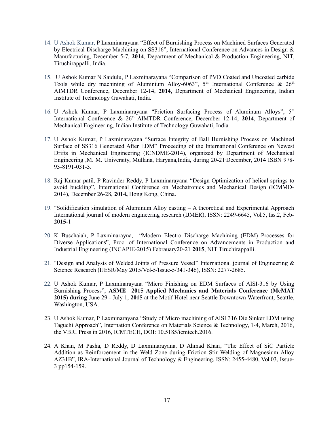- 14. U Ashok Kumar, P Laxminarayana "Effect of Burnishing Process on Machined Surfaces Generated by Electrical Discharge Machining on SS316", International Conference on Advances in Design & Manufacturing, December 5-7, **2014**, Department of Mechanical & Production Engineering, NIT, Tiruchirappalli, India.
- 15. U Ashok Kumar N Saidulu, P Laxminarayana "Comparison of PVD Coated and Uncoated carbide Tools while dry machining of Aluminium Alloy-6063",  $5<sup>th</sup>$  International Conference &  $26<sup>th</sup>$ AIMTDR Conference, December 12-14, **2014**, Department of Mechanical Engineering, Indian Institute of Technology Guwahati, India.
- 16. U Ashok Kumar, P Laxminarayana "Friction Surfacing Process of Aluminum Alloys", 5<sup>th</sup> International Conference & 26<sup>th</sup> AIMTDR Conference, December 12-14, 2014, Department of Mechanical Engineering, Indian Institute of Technology Guwahati, India.
- 17. U Ashok Kumar, P Laxminarayana "Surface Integrity of Ball Burnishing Process on Machined Surface of SS316 Generated After EDM" Proceeding of the International Conference on Newest Drifts in Mechanical Engineering (ICNDME-2014), organized by Department of Mechanical Engineering ,M. M. University, Mullana, Haryana,India, during 20-21 December, 2014 ISBN 978-93-8191-031-3.
- 18. Raj Kumar patil, P Ravinder Reddy, P Laxminarayana "Design Optimization of helical springs to avoid buckling", International Conference on Mechatronics and Mechanical Design (ICMMD-2014), December 26-28, **2014,** Hong Kong, China.
- 19. "Solidification simulation of Aluminum Alloy casting A theoretical and Experimental Approach International journal of modern engineering research (IJMER), ISSN: 2249-6645, Vol.5, Iss.2, Feb-**2015**-1
- 20. K Buschaiah, P Laxminarayna, "Modern Electro Discharge Machining (EDM) Processes for Diverse Applications", Proc. of International Conference on Advancements in Production and Industrial Engineering (INCAPIE-2015) Febrauary20-21 **2015**, NIT Tiruchirappalli.
- 21. "Design and Analysis of Welded Joints of Pressure Vessel" International journal of Engineering & Science Research (IJESR/May 2015/Vol-5/Issue-5/341-346), ISSN: 2277-2685.
- 22. U Ashok Kumar, P Laxminarayana "Micro Finishing on EDM Surfaces of AISI-316 by Using Burnishing Process", **ASME 2015 Applied Mechanics and Materials Conference (McMAT 2015) during** June 29 - July 1, **2015** at the Motif Hotel near Seattle Downtown Waterfront, Seattle, Washington, USA.
- 23. U Ashok Kumar, P Laxminarayana "Study of Micro machining of AISI 316 Die Sinker EDM using Taguchi Approach", Internation Conference on Materials Science & Technology, 1-4, March, 2016, the VBRI Press in 2016, ICMTECH, DOI: 10.5185/icmtech.2016.
- 24. A Khan, M Pasha, D Reddy, D Laxminarayana, D Ahmad Khan, "The Effect of SiC Particle Addition as Reinforcement in the Weld Zone during Friction Stir Welding of Magnesium Alloy AZ31B", IRA-International Journal of Technology & Engineering, ISSN: 2455-4480, Vol.03, Issue-3 pp154-159.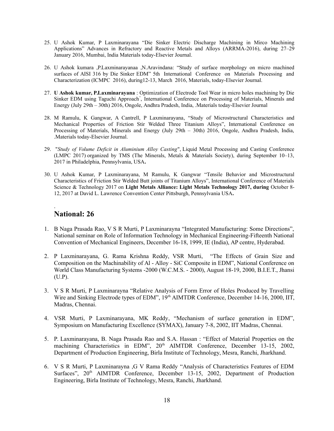- 25. U Ashok Kumar, P Laxminarayana "Die Sinker Electric Discharge Machining in Mirco Machining Applications" Advances in Refractory and Reactive Metals and Alloys (ARRMA-2016), during 27–29 January 2016, Mumbai, India Materials today-Elsevier Journal.
- 26. U Ashok kumara ,P.Laxminarayanaa ,N.Aravindana: "Study of surface morphology on micro machined surfaces of AISI 316 by Die Sinker EDM" 5th International Conference on Materials Processing and Characterization (ICMPC 2016), during12-13, March 2016, Materials, today-Elsevier Journal.
- 27. **U Ashok kumar, P.Laxminarayana** : Optimization of Electrode Tool Wear in micro holes machining by Die Sinker EDM using Taguchi Approach" , International Conference on Processing of Materials, Minerals and Energy (July 29th – 30th) 2016, Ongole, Andhra Pradesh, India, .Materials today-Elsevier Journal
- 28. M Ramulu, K Gangwar, A Cantrell, P Laxminarayana, "Study of Microstructural Characteristics and Mechanical Properties of Friction Stir Welded Three Titanium Alloys", International Conference on Processing of Materials, Minerals and Energy (July 29th – 30th) 2016, Ongole, Andhra Pradesh, India, .Materials today-Elsevier Journal.
- 29. "*Study of Volume Deficit in Aluminium Alloy Casting*", Liquid Metal Processing and Casting Conference (LMPC 2017) organized by TMS (The Minerals, Metals & Materials Society), during September 10–13, 2017 in Philadelphia, Pennsylvania, USA**.**
- 30. U Ashok Kumar, P Laxminarayana, M Ramulu, K Gangwar "Tensile Behavior and Microstructural Characteristics of Friction Stir Welded Butt joints of Titanium Alloys", International Conference of Materials Science & Technology 2017 on **Light Metals Alliance: Light Metals Technology 2017, during** October 8- 12, 2017 at David L. Lawrence Convention Center Pittsburgh, Pennsylvania USA**.**

#### **National: 26**

.

- 1. B Naga Prasada Rao, V S R Murti, P Laxminarayna "Integrated Manufacturing: Some Directions", National seminar on Role of Information Technology in Mechanical Engineering-Fifteenth National Convention of Mechanical Engineers, December 16-18, 1999, IE (India), AP centre, Hyderabad.
- 2. P Laxminarayana, G. Rama Krishna Reddy, VSR Murti, "The Effects of Grain Size and Composition on the Machinability of Al - Alloy - SiC Composite in EDM", National Conference on World Class Manufacturing Systems -2000 (W.C.M.S. - 2000), August 18-19, 2000, B.I.E.T., Jhansi (U.P).
- 3. V S R Murti, P Laxminarayna "Relative Analysis of Form Error of Holes Produced by Travelling Wire and Sinking Electrode types of EDM", 19<sup>th</sup> AIMTDR Conference, December 14-16, 2000, IIT, Madras, Chennai.
- 4. VSR Murti, P Laxminarayana, MK Reddy, "Mechanism of surface generation in EDM", Symposium on Manufacturing Excellence (SYMAX), January 7-8, 2002, IIT Madras, Chennai.
- 5. P. Laxminarayana, B. Naga Prasada Rao and S.A. Hassan : "Effect of Material Properties on the machining Characteristics in EDM", 20<sup>th</sup> AIMTDR Conference, December 13-15, 2002, Department of Production Engineering, Birla Institute of Technology, Mesra, Ranchi, Jharkhand.
- 6. V S R Murti, P Laxminarayna ,G V Rama Reddy "Analysis of Characteristics Features of EDM Surfaces", 20<sup>th</sup> AIMTDR Conference, December 13-15, 2002, Department of Production Engineering, Birla Institute of Technology, Mesra, Ranchi, Jharkhand.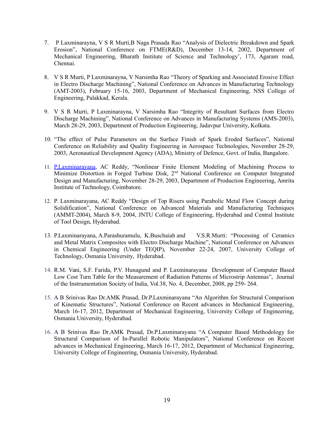- 7. P Laxminarayna, V S R Murti,B Naga Prasada Rao "Analysis of Dielectric Breakdown and Spark Erosion", National Conference on FTME(R&D), December 13-14, 2002, Department of Mechanical Engineering, Bharath Institute of Science and Technology', 173, Agaram road, Chennai.
- 8. V S R Murti, P Laxminarayna, V Narsimha Rao "Theory of Sparking and Associated Erosive Effect in Electro Discharge Machining", National Conference on Advances in Manufacturing Technology (AMT-2003), February 15-16, 2003, Department of Mechanical Engineering, NSS College of Engineering, Palakkad, Kerala.
- 9. V S R Murti, P Laxminarayna, V Narsimha Rao "Integrity of Resultant Surfaces from Electro Discharge Machining", National Conference on Advances in Manufacturing Systems (AMS-2003), March 28-29, 2003, Department of Production Engineering, Jadavpur University, Kolkata.
- 10. "The effect of Pulse Parameters on the Surface Finish of Spark Eroded Surfaces", National Conference on Reliability and Quality Engineering in Aerospace Technologies, November 28-29, 2003, Aeronautical Development Agency (ADA), Ministry of Defence, Govt. of India, Bangalore.
- 11. [P.Laxminarayana,](https://scholar.google.co.in/citations?user=3F_u2UEAAAAJ&hl=en&oi=sra) AC Reddy, "Nonlinear Finite Element Modeling of Machining Process to Minimize Distortion in Forged Turbine Disk, 2<sup>nd</sup> National Conference on Computer Integrated Design and Manufacturing, November 28-29, 2003, Department of Production Engineering, Amrita Institute of Technology, Coimbatore.
- 12. [P. Laxminarayana,](https://scholar.google.co.in/citations?user=3F_u2UEAAAAJ&hl=en&oi=sra) AC Reddy "Design of Top Risers using Parabolic Metal Flow Concept during Solidification", National Conference on Advanced Materials and Manufacturing Techniques (AMMT-2004), March 8-9, 2004, JNTU College of Engineering, Hyderabad and Central Institute of Tool Design, Hyderabad.
- 13. P.Laxminarayana, A.Parashuramulu, K.Buschaiah and V.S.R.Murti: "Processing of Ceramics and Metal Matrix Composites with Electro Discharge Machine", National Conference on Advances in Chemical Engineering (Under TEQIP), November 22-24, 2007, University College of Technology, Osmania University, Hyderabad.
- 14. R.M. Vani, S.F. Farida, P.V. Hunagund and P. Laxminarayana Development of Computer Based Low Cost Turn Table for the Measurement of Radiation Patterns of Microstrip Antennas", Journal of the Instrumentation Society of India, Vol.38, No. 4, December, 2008, pp 259- 264.
- 15. A B Srinivas Rao Dr.AMK Prasad, Dr.P.Laxminarayana "An Algorithm for Structural Comparison of Kinematic Structures", National Conference on Recent advances in Mechanical Engineering, March 16-17, 2012, Department of Mechanical Engineering, University College of Engineering, Osmania University, Hyderabad.
- 16. A B Srinivas Rao Dr.AMK Prasad, Dr.P.Laxminarayana "A Computer Based Methodology for Structural Comparison of In-Parallel Robotic Manipulators", National Conference on Recent advances in Mechanical Engineering, March 16-17, 2012, Department of Mechanical Engineering, University College of Engineering, Osmania University, Hyderabad.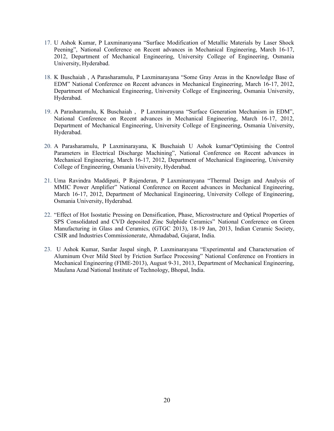- 17. U Ashok Kumar, P Laxminarayana "Surface Modification of Metallic Materials by Laser Shock Peening", National Conference on Recent advances in Mechanical Engineering, March 16-17, 2012, Department of Mechanical Engineering, University College of Engineering, Osmania University, Hyderabad.
- 18. K Buschaiah , A Parasharamulu, P Laxminarayana "Some Gray Areas in the Knowledge Base of EDM" National Conference on Recent advances in Mechanical Engineering, March 16-17, 2012, Department of Mechanical Engineering, University College of Engineering, Osmania University, Hyderabad.
- 19. A Parasharamulu, K Buschaiah , P Laxminarayana "Surface Generation Mechanism in EDM", National Conference on Recent advances in Mechanical Engineering, March 16-17, 2012, Department of Mechanical Engineering, University College of Engineering, Osmania University, Hyderabad.
- 20. A Parasharamulu, P Laxminarayana, K Buschaiah U Ashok kumar"Optimising the Control Parameters in Electrical Discharge Machining", National Conference on Recent advances in Mechanical Engineering, March 16-17, 2012, Department of Mechanical Engineering, University College of Engineering, Osmania University, Hyderabad.
- 21. Uma Ravindra Maddipati, P Rajenderan, P Laxminarayana "Thermal Design and Analysis of MMIC Power Amplifier" National Conference on Recent advances in Mechanical Engineering, March 16-17, 2012, Department of Mechanical Engineering, University College of Engineering, Osmania University, Hyderabad.
- 22. "Effect of Hot Isostatic Pressing on Densification, Phase, Microstructure and Optical Properties of SPS Consolidated and CVD deposited Zinc Sulphide Ceramics" National Conference on Green Manufacturing in Glass and Ceramics, (GTGC 2013), 18-19 Jan, 2013, Indian Ceramic Society, CSIR and Industries Commissionerate, Ahmadabad, Gujarat, India.
- 23. U Ashok Kumar, Sardar Jaspal singh, P. Laxminarayana "Experimental and Charactersation of Aluminum Over Mild Steel by Friction Surface Processing" National Conference on Frontiers in Mechanical Engineering (FIME-2013), August 9-31, 2013, Department of Mechanical Engineering, Maulana Azad National Institute of Technology, Bhopal, India.